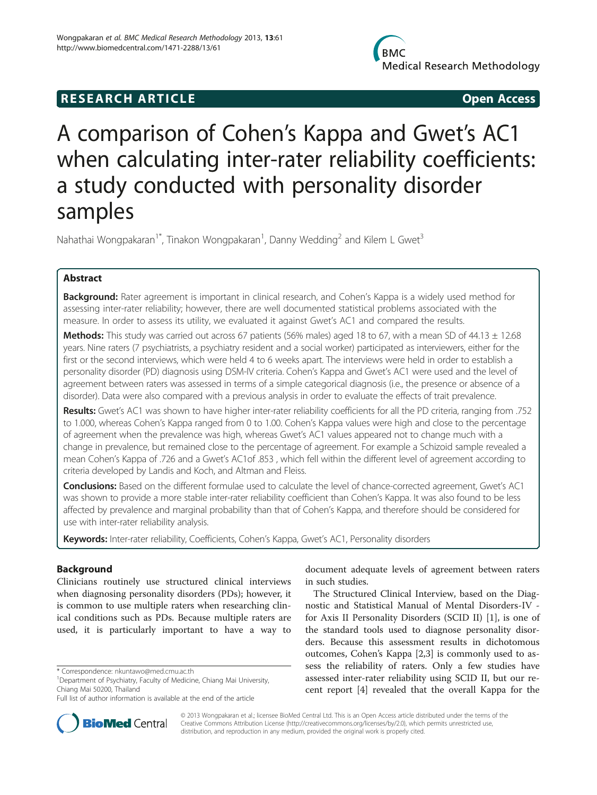# **RESEARCH ARTICLE Example 2014 CONSIDERING CONSIDERING CONSIDERING CONSIDERING CONSIDERING CONSIDERING CONSIDERING CONSIDERING CONSIDERING CONSIDERING CONSIDERING CONSIDERING CONSIDERING CONSIDERING CONSIDERING CONSIDE**

# A comparison of Cohen's Kappa and Gwet's AC1 when calculating inter-rater reliability coefficients: a study conducted with personality disorder samples

Nahathai Wongpakaran<sup>1\*</sup>, Tinakon Wongpakaran<sup>1</sup>, Danny Wedding<sup>2</sup> and Kilem L Gwet<sup>3</sup>

# Abstract

Background: Rater agreement is important in clinical research, and Cohen's Kappa is a widely used method for assessing inter-rater reliability; however, there are well documented statistical problems associated with the measure. In order to assess its utility, we evaluated it against Gwet's AC1 and compared the results.

Methods: This study was carried out across 67 patients (56% males) aged 18 to 67, with a mean SD of 44.13  $\pm$  12.68 years. Nine raters (7 psychiatrists, a psychiatry resident and a social worker) participated as interviewers, either for the first or the second interviews, which were held 4 to 6 weeks apart. The interviews were held in order to establish a personality disorder (PD) diagnosis using DSM-IV criteria. Cohen's Kappa and Gwet's AC1 were used and the level of agreement between raters was assessed in terms of a simple categorical diagnosis (i.e., the presence or absence of a disorder). Data were also compared with a previous analysis in order to evaluate the effects of trait prevalence.

Results: Gwet's AC1 was shown to have higher inter-rater reliability coefficients for all the PD criteria, ranging from .752 to 1.000, whereas Cohen's Kappa ranged from 0 to 1.00. Cohen's Kappa values were high and close to the percentage of agreement when the prevalence was high, whereas Gwet's AC1 values appeared not to change much with a change in prevalence, but remained close to the percentage of agreement. For example a Schizoid sample revealed a mean Cohen's Kappa of .726 and a Gwet's AC1of .853 , which fell within the different level of agreement according to criteria developed by Landis and Koch, and Altman and Fleiss.

Conclusions: Based on the different formulae used to calculate the level of chance-corrected agreement, Gwet's AC1 was shown to provide a more stable inter-rater reliability coefficient than Cohen's Kappa. It was also found to be less affected by prevalence and marginal probability than that of Cohen's Kappa, and therefore should be considered for use with inter-rater reliability analysis.

Keywords: Inter-rater reliability, Coefficients, Cohen's Kappa, Gwet's AC1, Personality disorders

# Background

Clinicians routinely use structured clinical interviews when diagnosing personality disorders (PDs); however, it is common to use multiple raters when researching clinical conditions such as PDs. Because multiple raters are used, it is particularly important to have a way to



The Structured Clinical Interview, based on the Diagnostic and Statistical Manual of Mental Disorders-IV for Axis II Personality Disorders (SCID II) [\[1](#page-6-0)], is one of the standard tools used to diagnose personality disorders. Because this assessment results in dichotomous outcomes, Cohen's Kappa [[2,3\]](#page-6-0) is commonly used to assess the reliability of raters. Only a few studies have assessed inter-rater reliability using SCID II, but our recent report [\[4](#page-6-0)] revealed that the overall Kappa for the



© 2013 Wongpakaran et al.; licensee BioMed Central Ltd. This is an Open Access article distributed under the terms of the Creative Commons Attribution License (<http://creativecommons.org/licenses/by/2.0>), which permits unrestricted use, distribution, and reproduction in any medium, provided the original work is properly cited.

<sup>\*</sup> Correspondence: [nkuntawo@med.cmu.ac.th](mailto:nkuntawo@med.cmu.ac.th) <sup>1</sup>

<sup>&</sup>lt;sup>1</sup>Department of Psychiatry, Faculty of Medicine, Chiang Mai University, Chiang Mai 50200, Thailand

Full list of author information is available at the end of the article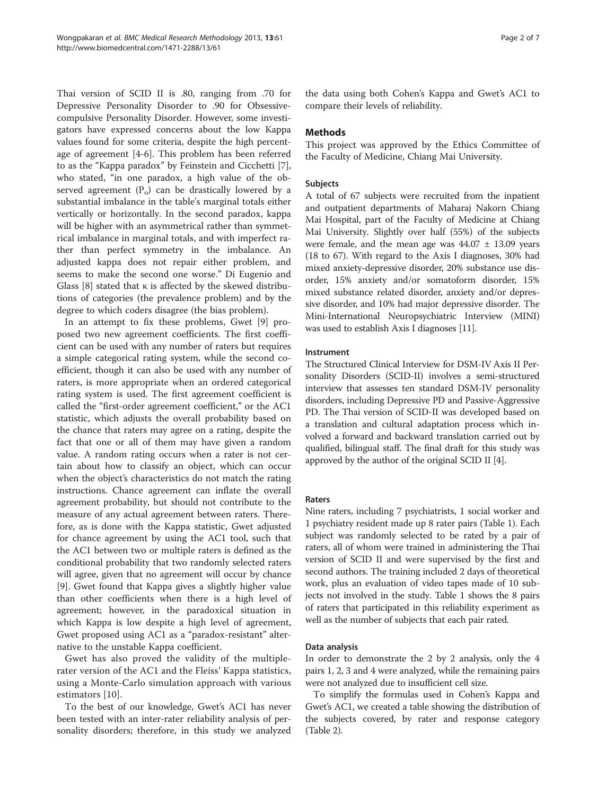Thai version of SCID II is .80, ranging from .70 for Depressive Personality Disorder to .90 for Obsessivecompulsive Personality Disorder. However, some investigators have expressed concerns about the low Kappa values found for some criteria, despite the high percentage of agreement [\[4](#page-6-0)-[6\]](#page-6-0). This problem has been referred to as the "Kappa paradox" by Feinstein and Cicchetti [\[7](#page-6-0)], who stated, "in one paradox, a high value of the observed agreement  $(P_0)$  can be drastically lowered by a substantial imbalance in the table's marginal totals either vertically or horizontally. In the second paradox, kappa will be higher with an asymmetrical rather than symmetrical imbalance in marginal totals, and with imperfect rather than perfect symmetry in the imbalance. An adjusted kappa does not repair either problem, and seems to make the second one worse." Di Eugenio and Glass [[8\]](#page-6-0) stated that  $\kappa$  is affected by the skewed distributions of categories (the prevalence problem) and by the degree to which coders disagree (the bias problem).

In an attempt to fix these problems, Gwet [[9\]](#page-6-0) proposed two new agreement coefficients. The first coefficient can be used with any number of raters but requires a simple categorical rating system, while the second coefficient, though it can also be used with any number of raters, is more appropriate when an ordered categorical rating system is used. The first agreement coefficient is called the "first-order agreement coefficient," or the AC1 statistic, which adjusts the overall probability based on the chance that raters may agree on a rating, despite the fact that one or all of them may have given a random value. A random rating occurs when a rater is not certain about how to classify an object, which can occur when the object's characteristics do not match the rating instructions. Chance agreement can inflate the overall agreement probability, but should not contribute to the measure of any actual agreement between raters. Therefore, as is done with the Kappa statistic, Gwet adjusted for chance agreement by using the AC1 tool, such that the AC1 between two or multiple raters is defined as the conditional probability that two randomly selected raters will agree, given that no agreement will occur by chance [[9\]](#page-6-0). Gwet found that Kappa gives a slightly higher value than other coefficients when there is a high level of agreement; however, in the paradoxical situation in which Kappa is low despite a high level of agreement, Gwet proposed using AC1 as a "paradox-resistant" alternative to the unstable Kappa coefficient.

Gwet has also proved the validity of the multiplerater version of the AC1 and the Fleiss' Kappa statistics, using a Monte-Carlo simulation approach with various estimators [\[10\]](#page-6-0).

To the best of our knowledge, Gwet's AC1 has never been tested with an inter-rater reliability analysis of personality disorders; therefore, in this study we analyzed the data using both Cohen's Kappa and Gwet's AC1 to compare their levels of reliability.

# **Methods**

This project was approved by the Ethics Committee of the Faculty of Medicine, Chiang Mai University.

## Subjects

A total of 67 subjects were recruited from the inpatient and outpatient departments of Maharaj Nakorn Chiang Mai Hospital, part of the Faculty of Medicine at Chiang Mai University. Slightly over half (55%) of the subjects were female, and the mean age was  $44.07 \pm 13.09$  years (18 to 67). With regard to the Axis I diagnoses, 30% had mixed anxiety-depressive disorder, 20% substance use disorder, 15% anxiety and/or somatoform disorder, 15% mixed substance related disorder, anxiety and/or depressive disorder, and 10% had major depressive disorder. The Mini-International Neuropsychiatric Interview (MINI) was used to establish Axis I diagnoses [\[11\]](#page-6-0).

### Instrument

The Structured Clinical Interview for DSM-IV Axis II Personality Disorders (SCID-II) involves a semi-structured interview that assesses ten standard DSM-IV personality disorders, including Depressive PD and Passive-Aggressive PD. The Thai version of SCID-II was developed based on a translation and cultural adaptation process which involved a forward and backward translation carried out by qualified, bilingual staff. The final draft for this study was approved by the author of the original SCID II [\[4](#page-6-0)].

### Raters

Nine raters, including 7 psychiatrists, 1 social worker and 1 psychiatry resident made up 8 rater pairs (Table [1](#page-2-0)). Each subject was randomly selected to be rated by a pair of raters, all of whom were trained in administering the Thai version of SCID II and were supervised by the first and second authors. The training included 2 days of theoretical work, plus an evaluation of video tapes made of 10 subjects not involved in the study. Table [1](#page-2-0) shows the 8 pairs of raters that participated in this reliability experiment as well as the number of subjects that each pair rated.

### Data analysis

In order to demonstrate the 2 by 2 analysis, only the 4 pairs 1, 2, 3 and 4 were analyzed, while the remaining pairs were not analyzed due to insufficient cell size.

To simplify the formulas used in Cohen's Kappa and Gwet's AC1, we created a table showing the distribution of the subjects covered, by rater and response category (Table [2](#page-2-0)).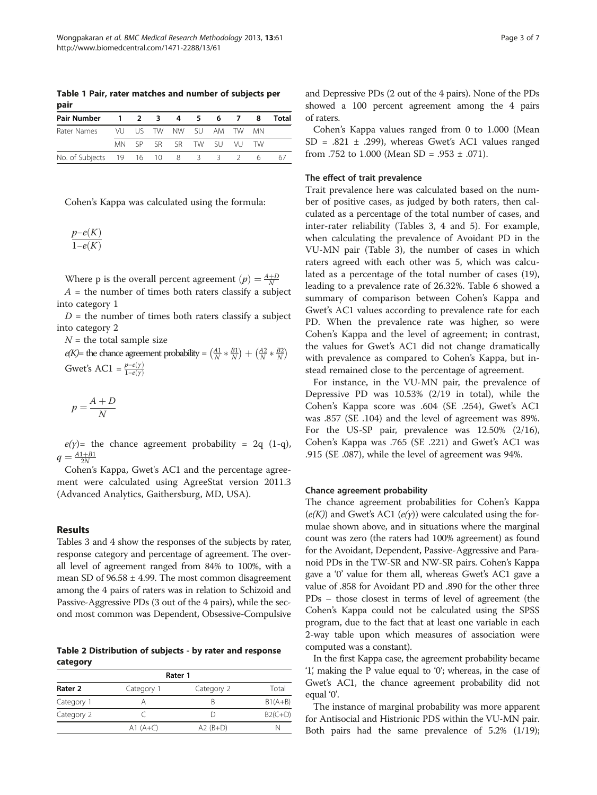<span id="page-2-0"></span>Table 1 Pair, rater matches and number of subjects per pair

| Pair Number                    | $1\quad 2$ | - 3 |                         | 45 | 6 7 | 8 | <b>Total</b> |
|--------------------------------|------------|-----|-------------------------|----|-----|---|--------------|
| Rater Names                    |            |     | VU US TW NW SU AM TW MN |    |     |   |              |
|                                |            |     | MN SP SR SR TW SU VU TW |    |     |   |              |
| No. of Subjects 19 16 10 8 3 3 |            |     |                         |    |     |   | 67           |

Cohen's Kappa was calculated using the formula:

Where p is the overall percent agreement  $(p) = \frac{A+D}{N}$ 

 $A =$  the number of times both raters classify a subject into category 1

 $D =$  the number of times both raters classify a subject into category 2

 $N =$  the total sample size

 $e(K)$ = the chance agreement probability =  $\left(\frac{A1}{N} * \frac{B1}{N}\right) + \left(\frac{A2}{N} * \frac{B2}{N}\right)$ Gwet's AC1 =  $\frac{p-e(\gamma)}{1-e(\gamma)}$ 

$$
p = \frac{A+D}{N}
$$

 $e(y)$ = the chance agreement probability = 2q (1-q),  $q = \frac{A1 + B1}{2N}$ 

Cohen's Kappa, Gwet's AC1 and the percentage agreement were calculated using AgreeStat version 2011.3 (Advanced Analytics, Gaithersburg, MD, USA).

# Results

Tables [3](#page-3-0) and [4](#page-4-0) show the responses of the subjects by rater, response category and percentage of agreement. The overall level of agreement ranged from 84% to 100%, with a mean SD of  $96.58 \pm 4.99$ . The most common disagreement among the 4 pairs of raters was in relation to Schizoid and Passive-Aggressive PDs (3 out of the 4 pairs), while the second most common was Dependent, Obsessive-Compulsive

Table 2 Distribution of subjects - by rater and response category

| Rater 1            |            |                |           |  |  |
|--------------------|------------|----------------|-----------|--|--|
| Rater <sub>2</sub> | Category 1 | Category 2     | Total     |  |  |
| Category 1         |            |                | $B1(A+B)$ |  |  |
| Category 2         |            |                | $B2(C+D)$ |  |  |
|                    | A1 $(A+C)$ | $A2$ ( $B+D$ ) |           |  |  |

and Depressive PDs (2 out of the 4 pairs). None of the PDs showed a 100 percent agreement among the 4 pairs of raters.

Cohen's Kappa values ranged from 0 to 1.000 (Mean  $SD = .821 \pm .299$ , whereas Gwet's AC1 values ranged from .752 to 1.000 (Mean SD = .953  $\pm$  .071).

#### The effect of trait prevalence

Trait prevalence here was calculated based on the number of positive cases, as judged by both raters, then calculated as a percentage of the total number of cases, and inter-rater reliability (Tables [3,](#page-3-0) [4](#page-4-0) and [5\)](#page-4-0). For example, when calculating the prevalence of Avoidant PD in the VU-MN pair (Table [3\)](#page-3-0), the number of cases in which raters agreed with each other was 5, which was calculated as a percentage of the total number of cases (19), leading to a prevalence rate of 26.32%. Table [6](#page-5-0) showed a summary of comparison between Cohen's Kappa and Gwet's AC1 values according to prevalence rate for each PD. When the prevalence rate was higher, so were Cohen's Kappa and the level of agreement; in contrast, the values for Gwet's AC1 did not change dramatically with prevalence as compared to Cohen's Kappa, but instead remained close to the percentage of agreement.

For instance, in the VU-MN pair, the prevalence of Depressive PD was 10.53% (2/19 in total), while the Cohen's Kappa score was .604 (SE .254), Gwet's AC1 was .857 (SE .104) and the level of agreement was 89%. For the US-SP pair, prevalence was 12.50% (2/16), Cohen's Kappa was .765 (SE .221) and Gwet's AC1 was .915 (SE .087), while the level of agreement was 94%.

#### Chance agreement probability

The chance agreement probabilities for Cohen's Kappa  $(e(K))$  and Gwet's AC1  $(e(y))$  were calculated using the formulae shown above, and in situations where the marginal count was zero (the raters had 100% agreement) as found for the Avoidant, Dependent, Passive-Aggressive and Paranoid PDs in the TW-SR and NW-SR pairs. Cohen's Kappa gave a '0' value for them all, whereas Gwet's AC1 gave a value of .858 for Avoidant PD and .890 for the other three PDs – those closest in terms of level of agreement (the Cohen's Kappa could not be calculated using the SPSS program, due to the fact that at least one variable in each 2-way table upon which measures of association were computed was a constant).

In the first Kappa case, the agreement probability became '1', making the  $P$  value equal to '0'; whereas, in the case of Gwet's AC1, the chance agreement probability did not equal '0'.

The instance of marginal probability was more apparent for Antisocial and Histrionic PDS within the VU-MN pair. Both pairs had the same prevalence of 5.2% (1/19);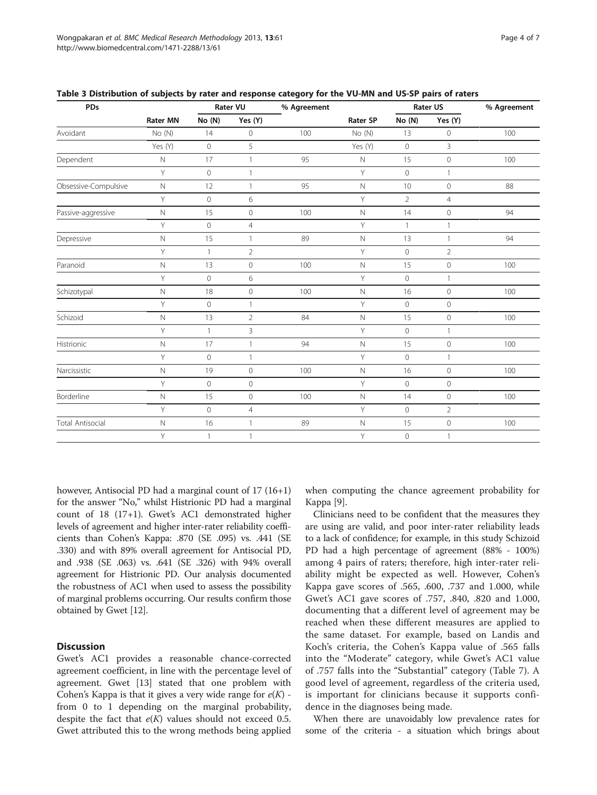<span id="page-3-0"></span>

|                      |                 |              | Rater VU       | % Agreement |                 |                | Rater US       | % Agreement |
|----------------------|-----------------|--------------|----------------|-------------|-----------------|----------------|----------------|-------------|
|                      | <b>Rater MN</b> | No(N)        | Yes (Y)        |             | <b>Rater SP</b> | No(N)          | Yes (Y)        |             |
| Avoidant             | No(N)           | 14           | $\mathbf 0$    | 100         | No(N)           | 13             | 0              | 100         |
|                      | Yes (Y)         | $\mathbf{0}$ | 5              |             | Yes (Y)         | $\Omega$       | 3              |             |
| Dependent            | N               | 17           |                | 95          | Ν               | 15             | $\overline{0}$ | 100         |
|                      | Y               | $\Omega$     |                |             | Y               | $\Omega$       |                |             |
| Obsessive-Compulsive | N               | 12           |                | 95          | N               | 10             | 0              | 88          |
|                      | Y               | $\mathbf{0}$ | 6              |             | Y               | $\overline{2}$ | $\overline{4}$ |             |
| Passive-aggressive   | Ν               | 15           | 0              | 100         | Ν               | 14             | 0              | 94          |
|                      | Υ               | $\circ$      | $\overline{4}$ |             | Υ               |                |                |             |
| Depressive           | N               | 15           |                | 89          | N               | 13             |                | 94          |
|                      | Υ               |              | $\overline{2}$ |             | Υ               | $\Omega$       | $\overline{2}$ |             |
| Paranoid             | N               | 13           | $\mathbf 0$    | 100         | N               | 15             | $\overline{0}$ | 100         |
|                      | Υ               | $\Omega$     | 6              |             | Y               | $\Omega$       |                |             |
| Schizotypal          | N               | 18           | $\mathbf 0$    | 100         | Ν               | 16             | $\mathbf 0$    | 100         |
|                      | Υ               | $\Omega$     |                |             | Y               | $\Omega$       | $\Omega$       |             |
| Schizoid             | N               | 13           | $\mathfrak{D}$ | 84          | N               | 15             | $\mathbf 0$    | 100         |
|                      | Υ               |              | 3              |             | Y               | $\Omega$       |                |             |

Histrionic N 17 1 94 N 15 0 100

Narcissistic N 19 0 100 N 16 0 100

Borderline N 15 0 100 N 14 0 100

Total Antisocial N 16 1 89 N 15 0 100

Y 0 1 Y 0 1

Y 0 0 0 Y 0 C

Y 0 4 Y 0 2

Y 1 1 1 Y 0 1

Table 3 Distribution of subjects by rater and response category for the VU-MN and US-SP pairs of raters

however, Antisocial PD had a marginal count of 17 (16+1) for the answer "No," whilst Histrionic PD had a marginal count of 18 (17+1). Gwet's AC1 demonstrated higher levels of agreement and higher inter-rater reliability coefficients than Cohen's Kappa: .870 (SE .095) vs. .441 (SE .330) and with 89% overall agreement for Antisocial PD, and .938 (SE .063) vs. .641 (SE .326) with 94% overall agreement for Histrionic PD. Our analysis documented the robustness of AC1 when used to assess the possibility of marginal problems occurring. Our results confirm those obtained by Gwet [[12](#page-6-0)].

# **Discussion**

Gwet's AC1 provides a reasonable chance-corrected agreement coefficient, in line with the percentage level of agreement. Gwet [[13\]](#page-6-0) stated that one problem with Cohen's Kappa is that it gives a very wide range for  $e(K)$  from 0 to 1 depending on the marginal probability, despite the fact that  $e(K)$  values should not exceed 0.5. Gwet attributed this to the wrong methods being applied when computing the chance agreement probability for Kappa [\[9](#page-6-0)].

Clinicians need to be confident that the measures they are using are valid, and poor inter-rater reliability leads to a lack of confidence; for example, in this study Schizoid PD had a high percentage of agreement (88% - 100%) among 4 pairs of raters; therefore, high inter-rater reliability might be expected as well. However, Cohen's Kappa gave scores of .565, .600, .737 and 1.000, while Gwet's AC1 gave scores of .757, .840, .820 and 1.000, documenting that a different level of agreement may be reached when these different measures are applied to the same dataset. For example, based on Landis and Koch's criteria, the Cohen's Kappa value of .565 falls into the "Moderate" category, while Gwet's AC1 value of .757 falls into the "Substantial" category (Table [7\)](#page-5-0). A good level of agreement, regardless of the criteria used, is important for clinicians because it supports confidence in the diagnoses being made.

When there are unavoidably low prevalence rates for some of the criteria - a situation which brings about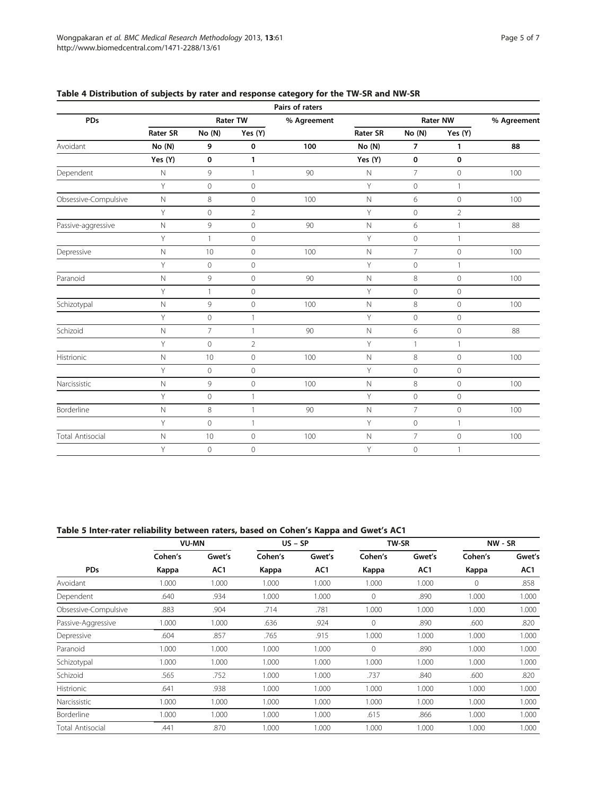| Pairs of raters         |                 |                |                 |             |                 |                |                 |             |
|-------------------------|-----------------|----------------|-----------------|-------------|-----------------|----------------|-----------------|-------------|
| PDs                     |                 |                | <b>Rater TW</b> | % Agreement |                 |                | <b>Rater NW</b> | % Agreement |
|                         | <b>Rater SR</b> | No(N)          | Yes (Y)         |             | <b>Rater SR</b> | No(N)          | Yes (Y)         |             |
| Avoidant                | No(N)           | 9              | 0               | 100         | No(N)           | 7              | $\mathbf{1}$    | 88          |
|                         | Yes (Y)         | 0              | 1               |             | Yes (Y)         | $\bf{0}$       | $\mathbf 0$     |             |
| Dependent               | $\mathbb N$     | 9              | $\mathbf{1}$    | 90          | $\mathbb N$     | $\overline{7}$ | $\circ$         | 100         |
|                         | Y               | $\circ$        | $\mathbf 0$     |             | Y               | $\mathbf{0}$   | $\mathbf{1}$    |             |
| Obsessive-Compulsive    | N               | 8              | $\circ$         | 100         | $\mathbb N$     | 6              | $\circ$         | 100         |
|                         | Y               | $\circ$        | $\overline{2}$  |             | Y               | $\mathbf{0}$   | $\overline{2}$  |             |
| Passive-aggressive      | N               | 9              | $\circ$         | 90          | $\mathbb N$     | 6              | $\mathbf{1}$    | 88          |
|                         | Y               | $\mathbf{1}$   | $\mathbf{0}$    |             | Y               | $\mathbf{0}$   | $\mathbf{1}$    |             |
| Depressive              | $\hbox{N}$      | 10             | $\mathbf 0$     | 100         | $\mathbb N$     | $\overline{7}$ | $\circ$         | 100         |
|                         | Y               | $\mathbf{0}$   | $\circ$         |             | Y               | $\mathbf{0}$   | $\mathbf{1}$    |             |
| Paranoid                | $\hbox{N}$      | 9              | $\mathbf 0$     | 90          | $\mathbb N$     | 8              | $\circ$         | 100         |
|                         | Y               | $\mathbf{1}$   | $\mathbf 0$     |             | Y               | $\mathbf{0}$   | $\circ$         |             |
| Schizotypal             | $\mathbb N$     | 9              | $\overline{0}$  | 100         | $\mathbb N$     | 8              | $\circ$         | 100         |
|                         | Y               | $\mathbf{0}$   | $\mathbf{1}$    |             | Y               | $\mathbf{0}$   | $\circ$         |             |
| Schizoid                | $\hbox{N}$      | $\overline{7}$ | $\mathbf{1}$    | 90          | $\mathbb N$     | 6              | $\circ$         | 88          |
|                         | Y               | $\circ$        | $\overline{2}$  |             | Y               | $\mathbf{1}$   | $\mathbf{1}$    |             |
| Histrionic              | $\hbox{N}$      | 10             | $\mathbf 0$     | 100         | $\mathbb N$     | 8              | $\mathbf 0$     | 100         |
|                         | Y               | $\circ$        | $\mathbf{0}$    |             | Y               | $\mathbf{0}$   | $\circ$         |             |
| Narcissistic            | N               | 9              | $\circ$         | 100         | $\mathbb N$     | 8              | $\circ$         | 100         |
|                         | Y               | $\mathbf 0$    | $\mathbf{1}$    |             | Y               | $\mathbb O$    | $\circ$         |             |
| Borderline              | N               | 8              | $\mathbf{1}$    | 90          | $\mathbb N$     | $\overline{7}$ | $\mathbf 0$     | 100         |
|                         | Y               | $\mathbf 0$    | $\mathbf{1}$    |             | Y               | $\mathbb O$    | $\mathbf{1}$    |             |
| <b>Total Antisocial</b> | $\hbox{N}$      | 10             | $\mathbf 0$     | 100         | $\mathbb N$     | $\overline{7}$ | $\circ$         | 100         |
|                         | Y               | $\circ$        | $\mathbf 0$     |             | Y               | $\mathbf{0}$   | $\mathbf{1}$    |             |

# <span id="page-4-0"></span>Table 4 Distribution of subjects by rater and response category for the TW-SR and NW-SR

Table 5 Inter-rater reliability between raters, based on Cohen's Kappa and Gwet's AC1

|                         | <b>VU-MN</b> |        | $US - SP$ |        | TW-SR    |        | NW - SR |        |
|-------------------------|--------------|--------|-----------|--------|----------|--------|---------|--------|
|                         | Cohen's      | Gwet's | Cohen's   | Gwet's | Cohen's  | Gwet's | Cohen's | Gwet's |
| <b>PDs</b>              | Kappa        | AC1    | Kappa     | AC1    | Kappa    | AC1    | Kappa   | AC1    |
| Avoidant                | 1.000        | 1.000  | 1.000     | 1.000  | 1.000    | 1.000  | 0       | .858   |
| Dependent               | .640         | .934   | 1.000     | 1.000  | 0        | .890   | 1.000   | 1.000  |
| Obsessive-Compulsive    | .883         | .904   | .714      | .781   | 1.000    | 1.000  | 1.000   | 1.000  |
| Passive-Aggressive      | 1.000        | 1.000  | .636      | .924   | 0        | .890   | .600    | .820   |
| Depressive              | .604         | .857   | .765      | .915   | 1.000    | 1.000  | 1.000   | 1.000  |
| Paranoid                | 1.000        | 1.000  | 1.000     | 1.000  | $\Omega$ | .890   | 1.000   | 1.000  |
| Schizotypal             | 1.000        | 1.000  | 1.000     | 1.000  | 1.000    | 1.000  | 1.000   | 1.000  |
| Schizoid                | .565         | .752   | 1.000     | 1.000  | .737     | .840   | .600    | .820   |
| Histrionic              | .641         | .938   | 1.000     | 1.000  | 1.000    | 1.000  | 1.000   | 1.000  |
| Narcissistic            | 1.000        | 1.000  | 1.000     | 1.000  | 1.000    | 1.000  | 1.000   | 1.000  |
| Borderline              | 1.000        | 1.000  | 1.000     | 1.000  | .615     | .866   | 1.000   | 1.000  |
| <b>Total Antisocial</b> | .441         | .870   | 1.000     | 1.000  | 1.000    | 1.000  | 1.000   | 1.000  |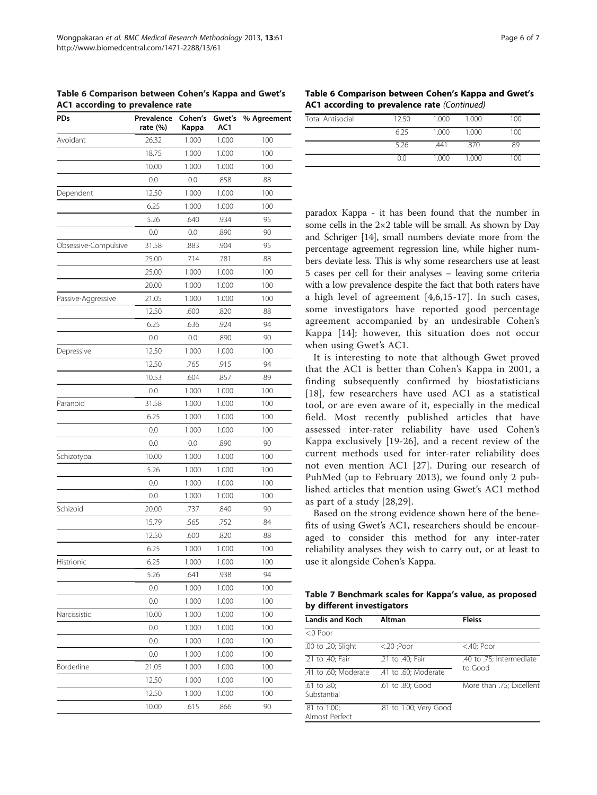<span id="page-5-0"></span>Table 6 Comparison between Cohen's Kappa and Gwet's AC1 according to prevalence rate

| <b>PDs</b>           | Prevalence<br>rate (%) | Cohen's<br>Kappa | Gwet's<br>AC1 | % Agreement |
|----------------------|------------------------|------------------|---------------|-------------|
| Avoidant             | 26.32                  | 1.000            | 1.000         | 100         |
|                      | 18.75                  | 1.000            | 1.000         | 100         |
|                      | 10.00                  | 1.000            | 1.000         | 100         |
|                      | 0.0                    | 0.0              | .858          | 88          |
| Dependent            | 12.50                  | 1.000            | 1.000         | 100         |
|                      | 6.25                   | 1.000            | 1.000         | 100         |
|                      | 5.26                   | .640             | .934          | 95          |
|                      | 0.0                    | 0.0              | .890          | 90          |
| Obsessive-Compulsive | 31.58                  | .883             | .904          | 95          |
|                      | 25.00                  | .714             | .781          | 88          |
|                      | 25.00                  | 1.000            | 1.000         | 100         |
|                      | 20.00                  | 1.000            | 1.000         | 100         |
| Passive-Aggressive   | 21.05                  | 1.000            | 1.000         | 100         |
|                      | 12.50                  | .600             | .820          | 88          |
|                      | 6.25                   | .636             | .924          | 94          |
|                      | 0.0                    | 0.0              | .890          | 90          |
| Depressive           | 12.50                  | 1.000            | 1.000         | 100         |
|                      | 12.50                  | .765             | .915          | 94          |
|                      | 10.53                  | .604             | .857          | 89          |
|                      | 0.0                    | 1.000            | 1.000         | 100         |
| Paranoid             | 31.58                  | 1.000            | 1.000         | 100         |
|                      | 6.25                   | 1.000            | 1.000         | 100         |
|                      | 0.0                    | 1.000            | 1.000         | 100         |
|                      | 0.0                    | 0.0              | .890          | 90          |
| Schizotypal          | 10.00                  | 1.000            | 1.000         | 100         |
|                      | 5.26                   | 1.000            | 1.000         | 100         |
|                      | 0.0                    | 1.000            | 1.000         | 100         |
|                      | 0.0                    | 1.000            | 1.000         | 100         |
| Schizoid             | 20.00                  | .737             | .840          | 90          |
|                      | 15.79                  | .565             | .752          | 84          |
|                      | 12.50                  | .600             | .820          | 88          |
|                      | 6.25                   | 1.000            | 1.000         | 100         |
| Histrionic           | 6.25                   | 1.000            | 1.000         | 100         |
|                      | 5.26                   | .641             | .938          | 94          |
|                      | 0.0                    | 1.000            | 1.000         | 100         |
|                      | 0.0                    | 1.000            | 1.000         | 100         |
| Narcissistic         | 10.00                  | 1.000            | 1.000         | 100         |
|                      | 0.0                    | 1.000            | 1.000         | 100         |
|                      | 0.0                    | 1.000            | 1.000         | 100         |
|                      | 0.0                    | 1.000            | 1.000         | 100         |
| Borderline           | 21.05                  | 1.000            | 1.000         | 100         |
|                      | 12.50                  | 1.000            | 1.000         | 100         |
|                      | 12.50                  | 1.000            | 1.000         | 100         |
|                      | 10.00                  | .615             | .866          | 90          |

Table 6 Comparison between Cohen's Kappa and Gwet's AC1 according to prevalence rate (Continued)

| Total Antisocial | 12.50 | 1.000 | 1.000 | 100 |
|------------------|-------|-------|-------|-----|
|                  | 6.25  | 1.000 | 1.000 | 100 |
|                  | 5.26  | .441  | 870   | 89  |
|                  | nη    | 1.000 | 1.000 | 100 |

paradox Kappa - it has been found that the number in some cells in the 2×2 table will be small. As shown by Day and Schriger [\[14\]](#page-6-0), small numbers deviate more from the percentage agreement regression line, while higher numbers deviate less. This is why some researchers use at least 5 cases per cell for their analyses – leaving some criteria with a low prevalence despite the fact that both raters have a high level of agreement [[4,6,15](#page-6-0)-[17](#page-6-0)]. In such cases, some investigators have reported good percentage agreement accompanied by an undesirable Cohen's Kappa [[14\]](#page-6-0); however, this situation does not occur when using Gwet's AC1.

It is interesting to note that although Gwet proved that the AC1 is better than Cohen's Kappa in 2001, a finding subsequently confirmed by biostatisticians [[18](#page-6-0)], few researchers have used AC1 as a statistical tool, or are even aware of it, especially in the medical field. Most recently published articles that have assessed inter-rater reliability have used Cohen's Kappa exclusively [\[19-26\]](#page-6-0), and a recent review of the current methods used for inter-rater reliability does not even mention AC1 [\[27\]](#page-6-0). During our research of PubMed (up to February 2013), we found only 2 published articles that mention using Gwet's AC1 method as part of a study [[28,29](#page-6-0)].

Based on the strong evidence shown here of the benefits of using Gwet's AC1, researchers should be encouraged to consider this method for any inter-rater reliability analyses they wish to carry out, or at least to use it alongside Cohen's Kappa.

Table 7 Benchmark scales for Kappa's value, as proposed by different investigators

| <b>Landis and Koch</b>         | Altman                 | <b>Fleiss</b>            |
|--------------------------------|------------------------|--------------------------|
| $< 0$ Poor                     |                        |                          |
| .00 to .20; Slight             | $< 20$ ; Poor          | $<$ .40; Poor            |
| .21 to .40; Fair               | .21 to .40; Fair       | .40 to .75; Intermediate |
| .41 to .60; Moderate           | .41 to .60; Moderate   | to Good                  |
| .61 to .80;<br>Substantial     | .61 to .80; Good       | More than .75; Excellent |
| .81 to 1.00;<br>Almost Perfect | .81 to 1.00; Very Good |                          |